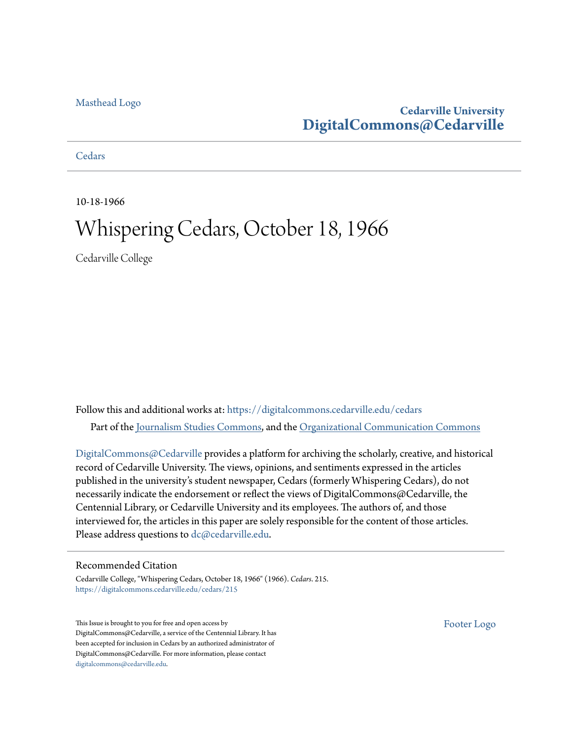#### [Masthead Logo](http://www.cedarville.edu/?utm_source=digitalcommons.cedarville.edu%2Fcedars%2F215&utm_medium=PDF&utm_campaign=PDFCoverPages)

### **Cedarville University [DigitalCommons@Cedarville](https://digitalcommons.cedarville.edu?utm_source=digitalcommons.cedarville.edu%2Fcedars%2F215&utm_medium=PDF&utm_campaign=PDFCoverPages)**

**[Cedars](https://digitalcommons.cedarville.edu/cedars?utm_source=digitalcommons.cedarville.edu%2Fcedars%2F215&utm_medium=PDF&utm_campaign=PDFCoverPages)** 

10-18-1966

## Whispering Cedars, October 18, 1966

Cedarville College

Follow this and additional works at: [https://digitalcommons.cedarville.edu/cedars](https://digitalcommons.cedarville.edu/cedars?utm_source=digitalcommons.cedarville.edu%2Fcedars%2F215&utm_medium=PDF&utm_campaign=PDFCoverPages) Part of the [Journalism Studies Commons](http://network.bepress.com/hgg/discipline/333?utm_source=digitalcommons.cedarville.edu%2Fcedars%2F215&utm_medium=PDF&utm_campaign=PDFCoverPages), and the [Organizational Communication Commons](http://network.bepress.com/hgg/discipline/335?utm_source=digitalcommons.cedarville.edu%2Fcedars%2F215&utm_medium=PDF&utm_campaign=PDFCoverPages)

[DigitalCommons@Cedarville](http://digitalcommons.cedarville.edu/) provides a platform for archiving the scholarly, creative, and historical record of Cedarville University. The views, opinions, and sentiments expressed in the articles published in the university's student newspaper, Cedars (formerly Whispering Cedars), do not necessarily indicate the endorsement or reflect the views of DigitalCommons@Cedarville, the Centennial Library, or Cedarville University and its employees. The authors of, and those interviewed for, the articles in this paper are solely responsible for the content of those articles. Please address questions to [dc@cedarville.edu.](mailto:dc@cedarville.edu)

#### Recommended Citation

Cedarville College, "Whispering Cedars, October 18, 1966" (1966). *Cedars*. 215. [https://digitalcommons.cedarville.edu/cedars/215](https://digitalcommons.cedarville.edu/cedars/215?utm_source=digitalcommons.cedarville.edu%2Fcedars%2F215&utm_medium=PDF&utm_campaign=PDFCoverPages)

This Issue is brought to you for free and open access by DigitalCommons@Cedarville, a service of the Centennial Library. It has been accepted for inclusion in Cedars by an authorized administrator of DigitalCommons@Cedarville. For more information, please contact [digitalcommons@cedarville.edu](mailto:digitalcommons@cedarville.edu).

[Footer Logo](http://www.cedarville.edu/Academics/Library.aspx?utm_source=digitalcommons.cedarville.edu%2Fcedars%2F215&utm_medium=PDF&utm_campaign=PDFCoverPages)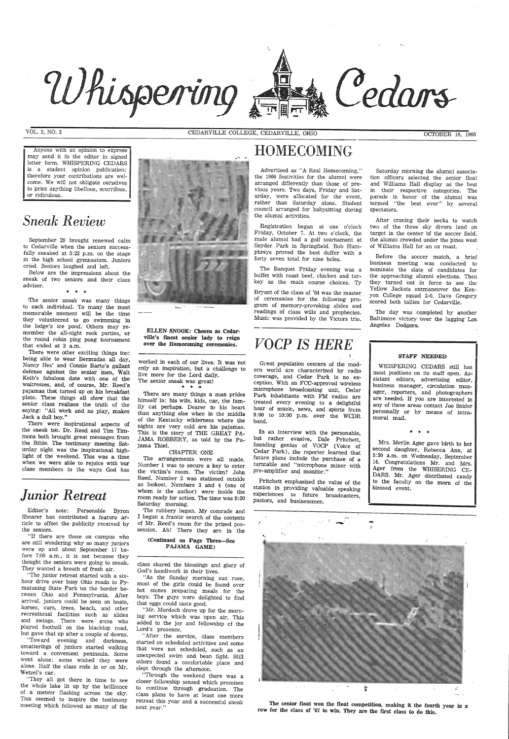

VOL. 2, NO. 2

Anyone with an opinion to express may send it tb the editor in signed letter form. WHISPERING CEDARS is a student opinion publication; therefore your contributions are welcome. We will not obligate ourselves to print anything libellous, scurril'ous, or ridiculous.

## *Sneak Review*

September 29 brought renewed calm to Cedarville when the seniors successfully sneaked at 3:22 p.m. on the stage in the high school gymnasium. Juniors cried. Seniors laughed and left.

The senior sneak was many things to each individual. To many the most memorable moment will be the time they volunteered to go swimming in the lodge's ice pond. Others may remember the all-night rook parties, or the round robin ping pong tournament that ended at 3 a.m.

There were other exciting things too: being able to wear Bermudas all day, Nancy Hes' and Connie Barto's gallant defense against the senior men, Walt Keib's fabulous date with one of the waitresses, and, of course, Mr. Reed's pajamas that turned up on his breakfast plate. These things all show that the senior class realizes the truth. of the saying: "All work and no play, makes Jack a dull boy."

Below are the impressions about the sneak of two seniors and their class adviser. \* \* \*

There were inspirational aspects of the sneak tob. Dr. Reed and Tim Timmons both brought great messages from the Bible. The testimony meeting Saturday night was the inspirational highlight of the weekend. This was a time when we were able to rejoice with bur class members in the ways God has

worked in each of our lives. It was not only an inspiration; but a challenge to live more for the Lord daily. The senior sneak was great!  $*$   $*$ 

## *Junior Retreat*

Editor's note: Personable Byron Shearer has contributed a feature article to offset the publicity received by the seniors.

"If there are those on campus who are still wondering why so many juniors were up and about September 17 before 7:00 a.m., it is not because they thought the seniors were going to sneak. They wanted a breath of fresh air.

"The junior retreat started with a



As the Sunday morning sun rose, most of the girls could be found- over hot stones preparing meals for the boys. The guys were delighted to find that eggs could taste good.

hour drive over busy Ohio roads *to* Pymatuning State Park bn the border between Ohio and Pennsylvania. After arrival, juniors could be seen on boats, horses, cars, trees, beach, and other recreational facilities such as slides and swings. There were some who <sup>p</sup>layed football on the blacktop road, but gave that up after a couple of downs.

"Toward evening and darkness, smatterings of juniors started walking toward a convenient peninsula. Some went alone; some wished they were alone. Half the class rode in or on Mr. Wetzel's car.

"They all got there in time to see the whole lake lit up by the brilliance of a mete'or flashing across the sky. This seemed to inspire the testimony meeting which followed as many of the

CEDARVILLE COLLEGE, CEDARVILLE, OHIO OCTOBER 18, <sup>1966</sup>

ELLEN SNOOK: Chosen as Cedarville's finest senior lady to reign over the Homecoming ceremonies.

 There are many things a man prides himself in: his wife, kids, car, the family cat perhaps. Dearer to his heart than anything else when in the middle of the Kentucky wilderness where the nights are very cold are his pajamas. This is the story of THE GREAT PA-JAMA ROBBERY, as told by the Pajama Thief.

CHAPTER ONE

The day was completed by another Baltimore victory over the lagging Los. Angeles Dodgers.

 The arrangements were all made. Number 1 was to secure a key to enter the victim's room. The victim? John Reed. Number 2 was stationed outside as lookout. Numbers 3 and 4 (one of whom is the author) were inside the room ready for action. The time was 9:30 Saturday morning.

The robbery began. My comrade and I began a frantic search of the contents of Mr. Reed's room for the prized possession. Ah! There they are in the

#### (Continued on Page Three-See PAJAMA GAME)

class shared the blessings and glory of God's handiwork in their lives.

"Mr. Murdoch drove up for the morning service which was 'open air. This added to the joy and fellowship cf the Lord's presence.

"After the service, class members started on scheduled activities and some that were not scheduled, such as an unexpected swim and bean fight. Still others found a comfortable place and slept through the afterno'on.

"Through the weekend there was <sup>a</sup> closer fellowship sensed which promises to continue through graduation. The class plans to have at least one more retreat this year and a successful sneak next year."

## HOMECOMING

Advertised as "A Real Homecoming," the 1966 festivities for the alumni were arranged differently than those of previous years. Two days, Friday and Saturday, were allocated for the event, rather than Saturday alone. Student council arranged for babysitting during the alumni activities.

,Registration began at one o'clock Friday, October 7. At two o'clock, the male alumni had a golf tournament at Snyder Park in Springfield. Bob Humphreys proved the best duffer with a forty seven total for nine holes.

The Banquet Friday evening was <sup>a</sup> buffet with roast beef, chicken and turkey as the main course choices. Ty

Bryant of the class of '64 was the master of ceremonies for the following program of memory-provoking slides and readings of class wills and prophecies. Music was provided by the Victors trio.

## *VOCP IS HERE*

Great popufatioh centers of the modern world are characterized by radio coverage, and Cedar Park is no *ex*ception. With an FCC-approved wireless microphone broadcasting unit, Cedar Park inhabitants with FM radios are treated every evening to a delightful hour of music, news, and sports from 9:00 to 10:00 p.m. over the WCDR band.

[n an interview with the personable, but rather evasive, Dale Pritchett, founding genius of VOCP (Voice of Cedar Park), the reporter learned that future plans include the purchase of a turntable and "microphone mixer with pre-amplifier and monitor."

Pritchett emphasized the value of the station in providing valuable speaking experiences to future broadcasters, pastors, and businessmen.





Cedars

After craning their necks to watch two of the three sky divers land on target in the center bf the soccer field, the alumni crowded under the pines west of Williams Hall for an ox roast.

Before the soccer match, a brief business meeting was conducted to nominate the slate of candidates for the approaching alumni elections. Then they turned but in force to see the Yellow Jackets outmaneuver the Kenyon College squad 2-0. Dave Gregory scored both tallies for Cedarville.



WHISPERING CEDARS still has most positions on its staff open. Assistant editors, advertising editor, business manager, circulation manager, reporters, and photographers are needed. If you are interested in any of these areas contact Joe Snider personally or by means of intramural mail.

Mrs. Merlin Ager gave birth to her second daughter, Rebecca Ann, at 5:30 a.m. on Wednesday, September 14. Congratulations Mr. and Mrs. Ager from the WHISERING CE-DARS. Mr. Ager distributed candy to the faculty on the morn of the blessed event.

The senior float won the float competition, making it the fourth year in a row for the class of '67 to win. They are the first class to do this.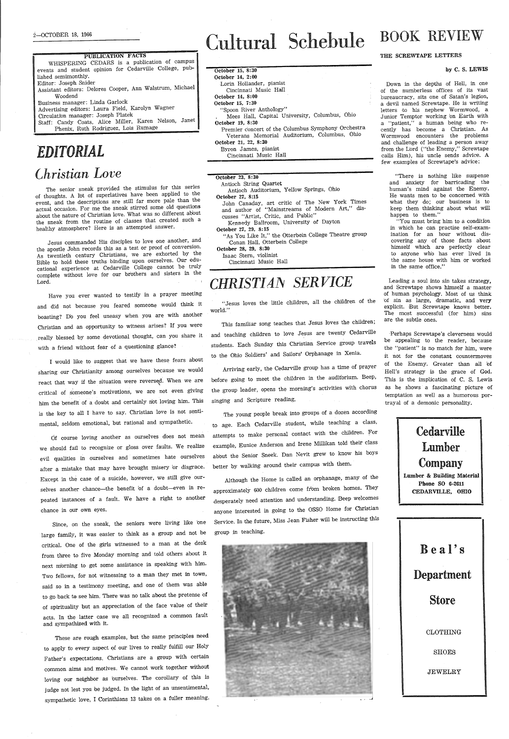PUBLICATION FACTS WHISPERING CEDARS is a publication of campus events and student opinion for Cedarville College, published semimonthly. Editor: Joseph Snider Assistant editors: Delores Cooper, Ann Walstrum, Michael Woodend Business manager: Linda Garlock Advertising editors: Laura Field, Karolyn Wagner Circulation manager: Joseph Platek Staff: Candy Coats, Alice Miller, Karen Nelson, Janet Phenix, Ruth Rodriguez, Lois Rumage

## *EDITORIAL lhristian Love*

The senior sneak provided the stimulus for this series of thoughts. A lot of superlatives have been applied to the event, and the descriptions are still far more pale than the actual occasion. For me the sneak stirred some old questions about the nature of Christian love. What was so different about the sneak from the routine of classes that created such <sup>a</sup> healthy atmosphere? Here is an attempted answer.

Jesus commanded His disciples to love one another, and the apostle John records this as a test or proof of conversion. As twentieth century Christians, we are exhorted by the Bible to hold these truths binding upon ourselves. Our educational experience at Cedarville College cannot be truly complete without love for our brothers and sisters in the Lord.

Have you ever wanted to testify in a prayer meeting and did not because you feared someone would think it boasting? Do you feel uneasy when you are with another Christian and an opportunity to witness arises? If you were really blessed by some devotional thought, can you share it with a friend without fear of a questioning glance?

Since, on the sneak, the seniors were living like one large family, it was easier to think as a group and not be critical. One of the girls witnessed to a man at the desk from three to five Monday morning and told others about it next morning to get some assistance in speaking with him. Two fellows, for not witnessing to a man they met in town, said so in a testimony meeting, and one of them was able to go back to see him. There was no talk about the pretense of of spirituality but an appreciation of the face value of their acts. In the latter case we all recognized a common fault and sympathized with it.

<sup>I</sup>would like to suggest that we have these fears about sharing our Christianity among ourselves because we would react that way if the situation were reversed. When we are critical of someone's motivations, we are not even giving him the benefit of a doubt and certainly not loving him. This is the key to all I have to say. Christian love is not sentimental, seldom emotional, but rational and sympathetic.

Of course loving another as ourselves does not mean we should fail to recognize or gloss over faults. We realize evil qualities in ourselves and sometimes hate ourselves after a mistake that may have brought misery or disgrace. Except in the case of a suicide, however, we still give ourselves another chance-the benefit of a doubt-even in repeated instances of a fault. We have a right to another chance in our own eyes.

These are rough examples, but the same principles need to apply fu every aspect of our lives to really fulfill our Holy Father's expectations. Christians are a group with certain common aims and motives. We cannot work together without loving our neighbor as ourselves. The corollazy of this is judge not lest you be judged. In the light of an unsentimental, sympathetic love, I Corinthians 13 takes on a fuller meaning.



#### October 15, 8:30 October 14, 2:00

Lorin Hollander, pianist Cincinnati Music Hall

"Spoon River Anthology"

# Cultural Schebule

October 14, 8:00 October 15, 7:30

October 19, 8:30

**Cedarville** Lumber Company Lumber & Building Material Phone SO 6-2611 CEDARVILLE, omo

Mees Hall, Capital University, Columbus, Ohio

Premier concert of the Columbus Symphony Orchestra Veterans Memorial Auditorium, Columbus, Ohio

October 21, 22, 8:30 Byron James, pianist Cincinnati Music Hall

October 23, 8:30

Antioch String Quartet

Antioch Auditorium, YeUow Springs, Ohio

October 27, 8:15

John Canaday, art critic of The New York Times and author of "Mainstreams of Modern Art," dis-

Kennedy Ballroom, University of Dayton

October 27, 29, 8:15

"As You Like It," the Otterbein College Theatre group

Conan Hall, Otterbein College

October 28, 29, 8:30 Isaac Stern, violinist Cincinnati Music Hall

*CHRISTI A~ SER VICE* 

cusses "Artist, Critic, and Public"

"Jesus loves the little children, all the children of the

world."

This familiar song teaches that Jesus loves the children; and teaching children to love Jesus are twenty Cedarville students. Each Sunday this Christian Service group travels to the Ohio Soldiers' and Sailors' Orphanage in Xenia.

Arriving early, the Cedarville group has a time of prayer before going to meet the children in the auditorium. Beep, the group leader, opens the morning's activities with chorus

The young people break into groups of a dozen according to age. Each Cedarville student, while teaching a class, attempts to make personal contact with the children. For example, Eunice Anderson and Irene Millikan told their class about the Senior Sneek. Dan Nevit grew to know his boys

singing and Scripture reading.

better by walking around their campus with them.

**BOOK REVIEW** 

Although the Home is called an orphanage, many of the approximately 600 children come from broken homes. They desperately need attention and understanding. [Beep welcomes anyone interested in going to the OSSO Home for Christian Service. In the future, Miss Jean Fisher will be instructing this

group in teaching.

#### THE SCREWTAPE LETTERS

#### by C. S. LEWIS

Down in the depths of Hell, in one of the numberless offices of its vast bureaucracy, sits one of Satan's legion, a devil named Screwtape. He is writing letters to his nephew Wormwood, a Junior Temptor working 'on Earth with a "patient," a human being who recently has become a Christian. As Wormwood encounters the problems and challenge of leading a person away from the Lord ("the Enemy," Screwtape calls Him), his uncle sends advice. <sup>A</sup> few examples of Screwtape's advice:

"There is nothing like suspense and anxiety for barricading the human's mind against the Enemy. He wants men to be concerned with what they do; our business is to keep them thinking about what will happen to them."

"You must bring him to a conditfon in which he can practise self-examination for an hour without discovering any of those facts about himself which are perfectly clear to anyone wh'o has ever lived in the same house with him or worked in the same office."

Leading a soul into sin takes strategy, and Screwtape shows himself a master of human psychology. Most of us think of sin as large, dramatic, and very explicit. But Screwtape knows better. The most successful (for him) sins are the subtle ones.

,Perhaps Screwtape's cleverness would be appealing to the reader, because the "patient" is no match for him, were it not for the constant countermoves of the Enemy. Greater than all bf Hell's strategy is the grace of God. This is the implication of C. S. Lewis as he shows a fascinating picture of temptation as well as a humorous portrayal of a demonic personality.

Beal's

Department

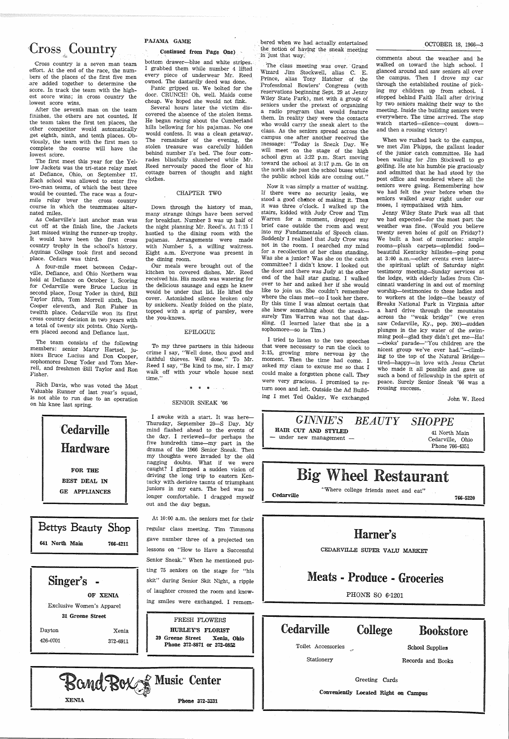## **Cross**<sub>&</sub> Country

Cross country is a seven man team effort. At the end of the race, the numbers of the places of the first five men -are added together to determine · the score. In track the team with the highest score wins; in cross country the lowest score wins.

After the seventh man on the team finishes, the others are not counted. If the team takes the first ten places, the other competitor would automatically get eighth, ninth, and tenth places. Obviously, the team with the first men to complete the course will have the Jowest score.

The first meet this year for the Yellow Jackets was the tri-state relay meet at Defiance, Ohio, on September 17. Each school was allowed to enter five two-man teams, of which the best three would be counted. The race was a fourmile relay 'over the cross country course in which the teammates alternated miles.

As Cedarville's last anchor man was cut off at the finish line, the Jackets just missed wining the runner-up trophy. It would have been the first cross country trophy in the school's history. Aquinas College took first and second place. Cedars was third.

Panic gripped us. We bolted for the door. CRUNCH! Oh, well. Maids come cheap. We hoped she would not fink.

A four-mile meet between Cedarville, Defiance, and Ohio Northern was held at Defiance on October 1, Scoring for Cedarville were Bruce Lucius in second place, Doug Yoder in third, Bill Taylor fifth, Tom Morrell sixth, Don Cooper eleventh, and Ron Fisher in twelfth place. Cedarville won its first cross country decision in two years with <sup>a</sup>total of twenty six points. Ohio Northern placed second and Defiance last.

The team consists of the following members: senior Marty Hartsel, juniors Bruce Lucius and Don Cooper, sophomores Doug Yoder and Tom Merrell, and freshmen Bill Taylor and Ron Fisher.

Rich Davis, who was voted the Most Valuable Runner of last year's squad, is not able to run due to an operation on his knee last spring.





#### PAJAMA GAME

#### Continued from Page One)

I awoke with a start. It was here-Thursday, September 29-S Day. My mind flashed ahead to the events of the day. I reviewed-for perhaps the five hundredth time-my part in the drama of the 1966 Senior Sneak. Then my thoughts were invaded by the old nagging doubts. What if we were caught? I glimpsed a sudden vision of driving the long trip to eastern Kentucky with derisive taunts of triumphant juniors in my ears. The bed was no longer comfortable. I dragged myself out and the day began.

bottom drawer-blue and white stripes. I grabbed them while number 4 lifted every piece of underwear Mr. Reed owned. The dastardly deed was done.

Several hours later the victim discovered the absence of the stolen items. He began racing about the Cumberland hills bellowing for his pajamas. No one would confess. It was a clean getaway. The remainder 'of the evening, the stolen treasure was carefully hidden behind number 3's bed. The four comrades blissfully slumbered while Mr. Reed nervously paced the floor of his cottage barren of thought and night clothes.

The class meeting was over. Grand Wizard Jim Stockwell, alias C. E. Prince, alias Tony Hatcher of the Professional Bowlers' Congress (with reservations beginning Sept. 29 at Jenny Wiley State Park), met with a group of seniors under the pretext of organizing a radio program that would feature them. In reality they were the contacts who would carry the sneak alert to the class. As the seniors spread across the campus one after another received the message: "Today is Sneak Day. We will meet on the stage of the high school gym at 3:22 p.m. Start moving toward the school at 3:17 p.m. Go in on the north side past the sch'ool buses while the public school kids are coming out."

#### CHAPTER TWO

Down through the history 'of man, many strange things have been served for breakfast. Number 3 was up half of the night planning Mr. Reed's. At 7:15 I hustled to the dining room with the pajamas. Arrangements were made with Number 5, a willing waitress. Eight a.m. Everyone was present in the dining room.

10ur meals were brought out of the kitchen 'on covered dishes. Mr. Reed received his. His mouth was watering for the delicious sausage and eggs he knew would be under that lid. He lifted the cover. Astonished silence broken only by snickers. Neatly folded on the plate, topped with a sprig of parsley, were the you-knows.

#### EPILOGUE

To my three partners in this hideous crime I say, "Well done, thou good and faithful thieves. Well done." To Mr. Reed I say, "Be kind to me, sir. I may walk off with your whole house next time."

\* \* \*

#### SENIOR SNEAK '66

At 10: 00 a.m. the seniors met for their regular class meeting. Tim Timmons gave number three of a projected ten lessons on "How to Have a Successful Senior Sneak." When he mentioned putting 75 seniors on the stage for "his

bered when we had actually entertained the notion of having the sneak meeting in just that way;

| Singer's<br>$\overline{\phantom{a}}$<br>OF XENIA                                         | skit" during Senior Skit Night, a ripple<br>of laughter crossed the room and know-<br>ing smiles were exchanged. I remem- |                                         | <b>Meats - Produce - Groceries</b><br>PHONE SO 6-1201                       |                                     |  |
|------------------------------------------------------------------------------------------|---------------------------------------------------------------------------------------------------------------------------|-----------------------------------------|-----------------------------------------------------------------------------|-------------------------------------|--|
| Exclusive Women's Apparel<br>31 Greene Street<br>Dayton<br>Xenia<br>426-0701<br>372-6911 | FRESH FLOWERS<br>HURLEY'S FLORIST<br>39 Greene Street<br>Xenia, Ohio<br>Phone 372-8871 or 372-0852                        | <b>Cedarville</b><br>Toilet Accessories | College                                                                     | <b>Bookstore</b><br>School Supplies |  |
| Bond Box & Music Center<br><b>XENIA</b><br>Phone 372-3331                                |                                                                                                                           | Stationery                              | Records and Books<br>Greeting Cards<br>Conveniently Located Right on Campus |                                     |  |

Now it was simply a matter of waiting. Ii there were no security leaks, we stood a good chence of making it. Then it was three o'clock. I walked up the stairs, kidded with Judy Crow and Tim Warren for a moment, dropped my brief case outside the room and went into my Fundamentals of Speech class. Suddenly I realized that Judy Crow was not in the room. I searched my mind for a recollection of her class standing. Was she a junior? Was she on the catch committee? I didn't krrow. I looked out the door and there was Judy at the other end of the hall star gazing. I walked over to her and asked her if she would like to join us. She couldn't remember where the class met-so I took her there. By this time I was alm'ost certain that she knew something about the sneaksurely Tim Warren was not that dazzling. (I learned later that she *is* <sup>a</sup> sophomore-so is Tim.)

<sup>I</sup>tried to listen to the two speeches that were necessary to run the clock to 3:15, growing more nervous by the moment. Then the time had come. I asked my class to excuse me so that I could make a forgotten phone call. They were very gracious. I promised to return soon and left. Outside the Ad Building I met Ted Oakley. We exchanged

#### OCTOBER 18, 1966-3

comments about the weather and he walked on toward the high school. I glanced around and saw seniors all over the campus. Then I drove my car through the established routine of picking my children up from school. I stopped behind Faith Hall after driving by two seniors making their way to the meeting. Inside the building seniors were everywhere. The time arrived. The stop watch started-silence-count downand then a rousing victory!

When we rushed back to the campus, we met Jim Phipps, the gallant leader of the junior catch committee. He had been waiting for Jim Stockwell to go golfing. He ate his humble pie graciously and admitted that he had stood by the post office and wondered where all the seniors were going. Remembering how we had felt the year before when the seniors walked away right under our noses, I sympathized with him.

Jenny Wiley State Park was all that we had expected-for the most part the weather was fine. (Would you believe twenty seven holes of golf on Friday?) We built a host of memories: ample rooms-plush carpets-splendid fo'odbeautiful Kentucky hillsides-ping pong at 3:00 a.m.--other events even laterthe spiritual uplift of Saturday night testimony meeting-Sunday services at the lodge, with elderly ladies from Cincinnati wandering in and out of morning worship-testimonies to these ladies and to workers at the lodge-the beauty of !Breaks National Park in Virginia after a hard drive through the mountains across the "weak bridge" (we even saw Cedarville, Ky., pop. 200)-sudden plunges in the icy water of the swimming pool-glad they didn't get me-Ha! -cooks' parade-"You children are the nicest group we've ever had."-climbing to the top of the Natural Bridgetired-happy-in love with Jesus Christ who made it all possible and gave us such a bond of fellowship in the spirit of peace. Surely Senior Sneak '66 was <sup>a</sup> rousing success.

John W. Reed





CEDARVILLE SUPER VALU MARKET